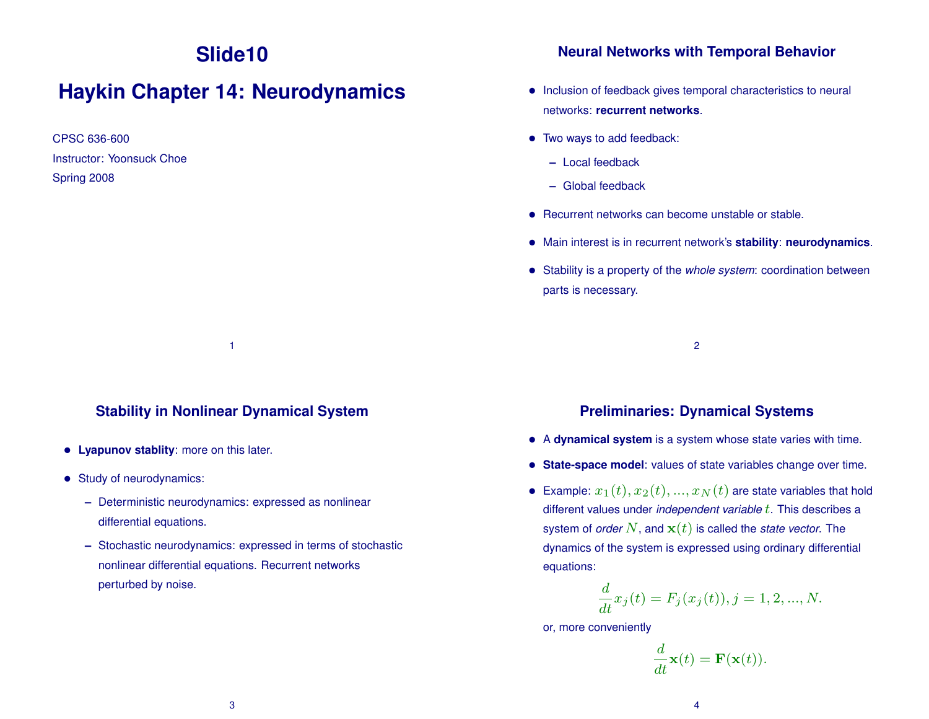# **Slide10**

## **Haykin Chapter 14: Neurodynamics**

CPSC 636-600 Instructor: Yoonsuck Choe Spring 2008

#### **Stability in Nonlinear Dynamical System**

1

- **Lyapunov stablity**: more on this later.
- Study of neurodynamics:
	- **–** Deterministic neurodynamics: expressed as nonlinear differential equations.
	- **–** Stochastic neurodynamics: expressed in terms of stochastic nonlinear differential equations. Recurrent networks perturbed by noise.

#### **Neural Networks with Temporal Behavior**

- Inclusion of feedback gives temporal characteristics to neural networks: **recurrent networks**.
- Two ways to add feedback:
	- **–** Local feedback
	- **–** Global feedback
- Recurrent networks can become unstable or stable.
- Main interest is in recurrent network's **stability**: **neurodynamics**.
- Stability is a property of the *whole system*: coordination between parts is necessary.

2

#### **Preliminaries: Dynamical Systems**

- A **dynamical system** is a system whose state varies with time.
- **State-space model**: values of state variables change over time.
- Example:  $x_1(t), x_2(t), ..., x_N(t)$  are state variables that hold different values under *independent variable t*. This describes a system of *order*  $N$ , and  $\mathbf{x}(t)$  is called the *state vector*. The dynamics of the system is expressed using ordinary differential equations:

$$
\frac{d}{dt}x_j(t) = F_j(x_j(t)), j = 1, 2, ..., N.
$$

or, more conveniently

$$
\frac{d}{dt}\mathbf{x}(t) = \mathbf{F}(\mathbf{x}(t)).
$$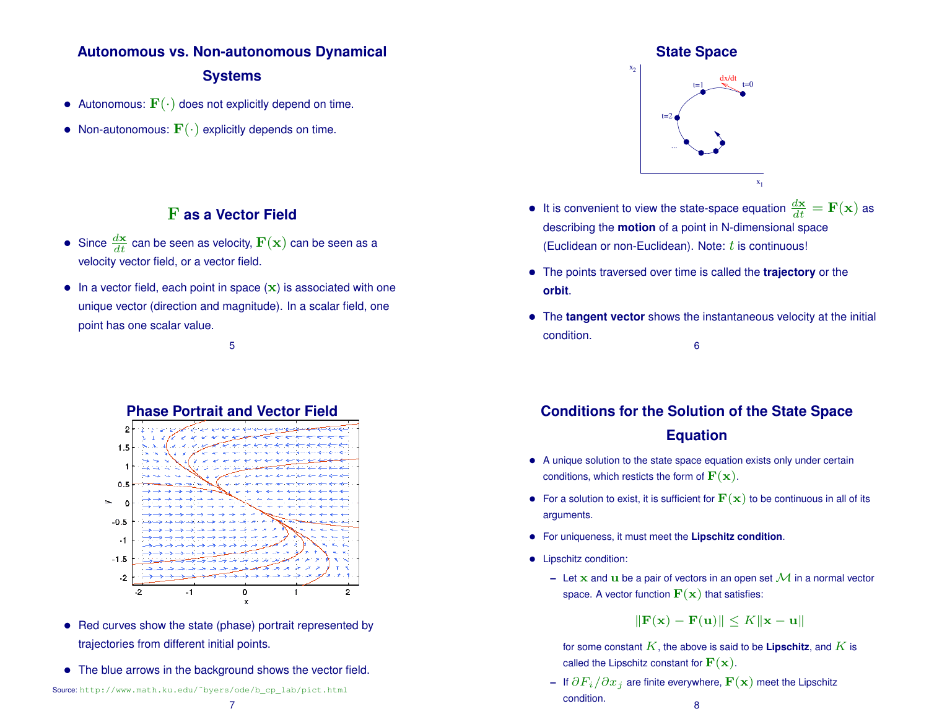# **Autonomous vs. Non-autonomous Dynamical**

#### **Systems**

- Autonomous:  $\mathbf{F}(\cdot)$  does not explicitly depend on time.
- Non-autonomous:  $\mathbf{F}(\cdot)$  explicitly depends on time.

## F **as a Vector Field**

- Since  $\frac{d\textbf{x}}{dt}$  can be seen as velocity,  $\textbf{F}(\textbf{x})$  can be seen as a velocity vector field, or a vector field.
- $\bullet$  In a vector field, each point in space  $(x)$  is associated with one unique vector (direction and magnitude). In a scalar field, one point has one scalar value.

5



- Red curves show the state (phase) portrait represented by trajectories from different initial points.
- The blue arrows in the background shows the vector field.

#### **State Space**



- It is convenient to view the state-space equation  $\frac{d\mathbf{x}}{dt} = \mathbf{F}(\mathbf{x})$  as describing the **motion** of a point in N-dimensional space (Euclidean or non-Euclidean). Note:  $t$  is continuous!
- The points traversed over time is called the **trajectory** or the **orbit**.
- The **tangent vector** shows the instantaneous velocity at the initial condition. 6

## **Conditions for the Solution of the State Space Equation**

- A unique solution to the state space equation exists only under certain conditions, which resticts the form of  $\mathbf{F}(\mathbf{x})$ .
- For a solution to exist, it is sufficient for  $\mathbf{F}(\mathbf{x})$  to be continuous in all of its arguments.
- For uniqueness, it must meet the **Lipschitz condition**.
- Lipschitz condition:
	- **–** Let **x** and **u** be a pair of vectors in an open set  $\mathcal{M}$  in a normal vector space. A vector function  $\mathbf{F}(\mathbf{x})$  that satisfies:

 $\|\mathbf{F}(\mathbf{x}) - \mathbf{F}(\mathbf{u})\| \leq K \|\mathbf{x} - \mathbf{u}\|$ 

for some constant  $K$ , the above is said to be **Lipschitz**, and  $K$  is called the Lipschitz constant for  $\mathbf{F}(\mathbf{x})$ .

**–** If ∂Fi/∂x<sup>j</sup> are finite everywhere, F(x) meet the Lipschitz condition. <sup>8</sup>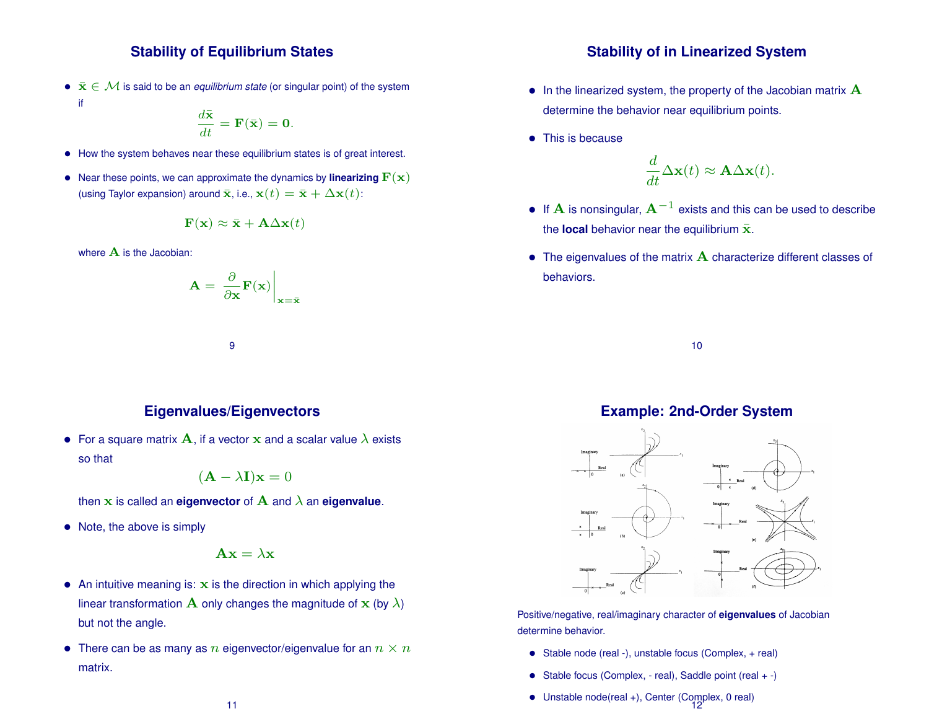#### **Stability of Equilibrium States**

•  $\bar{\mathbf{x}} \in \mathcal{M}$  is said to be an *equilibrium state* (or singular point) of the system if

$$
\frac{d\bar{\mathbf{x}}}{dt} = \mathbf{F}(\bar{\mathbf{x}}) = \mathbf{0}.
$$

- How the system behaves near these equilibrium states is of great interest.
- Near these points, we can approximate the dynamics by **linearizing**  $\mathbf{F}(\mathbf{x})$ (using Taylor expansion) around  $\bar{\mathbf{x}}$ , i.e.,  $\mathbf{x}(t) = \bar{\mathbf{x}} + \Delta \mathbf{x}(t)$ :

$$
\mathbf{F}(\mathbf{x}) \approx \bar{\mathbf{x}} + \mathbf{A} \Delta \mathbf{x}(t)
$$

where  $A$  is the Jacobian:

$$
\mathbf{A} = \left. \frac{\partial}{\partial \mathbf{x}} \mathbf{F}(\mathbf{x}) \right|_{\mathbf{x} = \bar{\mathbf{x}}}
$$

9

#### **Eigenvalues/Eigenvectors**

• For a square matrix  $\bf{A}$ , if a vector  $\bf{x}$  and a scalar value  $\lambda$  exists so that

$$
(\mathbf{A} - \lambda \mathbf{I})\mathbf{x} = 0
$$

then x is called an **eigenvector** of A and λ an **eigenvalue**.

• Note, the above is simply

$$
\mathbf{A}\mathbf{x} = \lambda \mathbf{x}
$$

- An intuitive meaning is:  $x$  is the direction in which applying the linear transformation  $\bf{A}$  only changes the magnitude of  $\bf{x}$  (by  $\lambda$ ) but not the angle.
- There can be as many as n eigenvector/eigenvalue for an  $n \times n$ matrix.

#### **Stability of in Linearized System**

- $\bullet$  In the linearized system, the property of the Jacobian matrix  $\mathbf A$ determine the behavior near equilibrium points.
- This is because

$$
\frac{d}{dt}\Delta \mathbf{x}(t) \approx \mathbf{A}\Delta \mathbf{x}(t).
$$

- If  $\bf A$  is nonsingular,  ${\bf A}^{-1}$  exists and this can be used to describe the **local** behavior near the equilibrium  $\bar{x}$ .
- $\bullet$  The eigenvalues of the matrix  $\bf A$  characterize different classes of behaviors.

10

#### **Example: 2nd-Order System**



Positive/negative, real/imaginary character of **eigenvalues** of Jacobian determine behavior.

- Stable node (real -), unstable focus (Complex, + real)
- Stable focus (Complex, real), Saddle point (real + -)
- Unstable node(real +), Center (Complex, 0 real) 12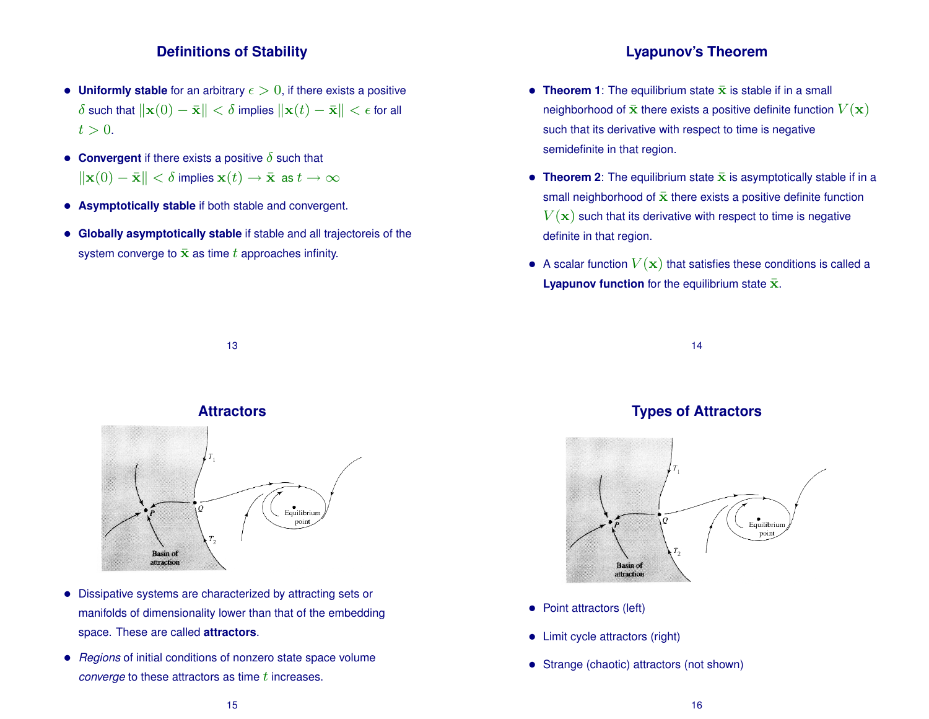#### **Definitions of Stability**

- Uniformly stable for an arbitrary  $\epsilon > 0$ , if there exists a positive  $\delta$  such that  $\|\mathbf{x}(0) - \bar{\mathbf{x}}\| < \delta$  implies  $\|\mathbf{x}(t) - \bar{\mathbf{x}}\| < \epsilon$  for all  $t > 0$ .
- **Convergent** if there exists a positive  $\delta$  such that  $\|\mathbf{x}(0) - \bar{\mathbf{x}}\| < \delta$  implies  $\mathbf{x}(t) \to \bar{\mathbf{x}}$  as  $t \to \infty$
- **Asymptotically stable** if both stable and convergent.
- **Globally asymptotically stable** if stable and all trajectoreis of the system converge to  $\bar{\mathbf{x}}$  as time t approaches infinity.

#### **Lyapunov's Theorem**

- **Theorem 1**: The equilibrium state  $\bar{x}$  is stable if in a small neighborhood of  $\bar{\mathbf{x}}$  there exists a positive definite function  $V(\mathbf{x})$ such that its derivative with respect to time is negative semidefinite in that region.
- **Theorem 2**: The equilibrium state  $\bar{x}$  is asymptotically stable if in a small neighborhood of  $\bar{x}$  there exists a positive definite function  $V(\mathbf{x})$  such that its derivative with respect to time is negative definite in that region.
- A scalar function  $V(\mathbf{x})$  that satisfies these conditions is called a **Lyapunov function** for the equilibrium state  $\bar{x}$ .

14

# **Types of Attractors**



- Point attractors (left)
- Limit cycle attractors (right)
- Strange (chaotic) attractors (not shown)

#### **Attractors**

13



- Dissipative systems are characterized by attracting sets or manifolds of dimensionality lower than that of the embedding space. These are called **attractors**.
- *Regions* of initial conditions of nonzero state space volume *converge* to these attractors as time t increases.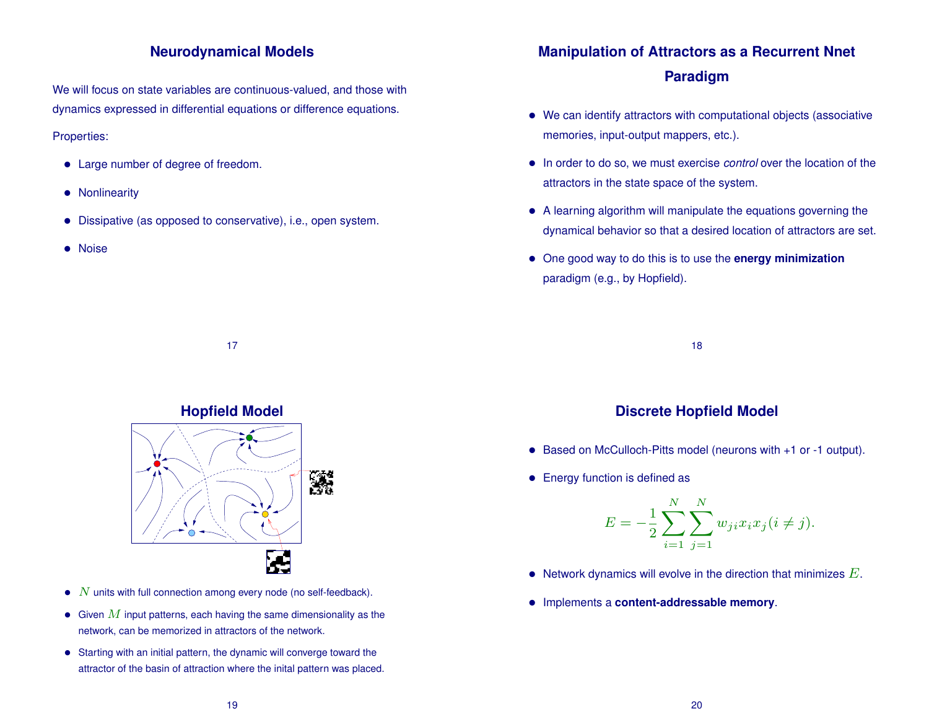#### **Neurodynamical Models**

We will focus on state variables are continuous-valued, and those with dynamics expressed in differential equations or difference equations. Properties:

- Large number of degree of freedom.
- Nonlinearity
- Dissipative (as opposed to conservative), i.e., open system.
- Noise

## **Manipulation of Attractors as a Recurrent Nnet Paradigm**

- We can identify attractors with computational objects (associative memories, input-output mappers, etc.).
- In order to do so, we must exercise *control* over the location of the attractors in the state space of the system.
- A learning algorithm will manipulate the equations governing the dynamical behavior so that a desired location of attractors are set.
- One good way to do this is to use the **energy minimization** paradigm (e.g., by Hopfield).

18

#### **Discrete Hopfield Model**

- Based on McCulloch-Pitts model (neurons with +1 or -1 output).
- Energy function is defined as

$$
E = -\frac{1}{2} \sum_{i=1}^{N} \sum_{j=1}^{N} w_{ji} x_i x_j (i \neq j).
$$

- Network dynamics will evolve in the direction that minimizes  $E$ .
- Implements a **content-addressable memory**.

#### **Hopfield Model**

17



- $\bullet$   $N$  units with full connection among every node (no self-feedback).
- Given  $M$  input patterns, each having the same dimensionality as the network, can be memorized in attractors of the network.
- Starting with an initial pattern, the dynamic will converge toward the attractor of the basin of attraction where the inital pattern was placed.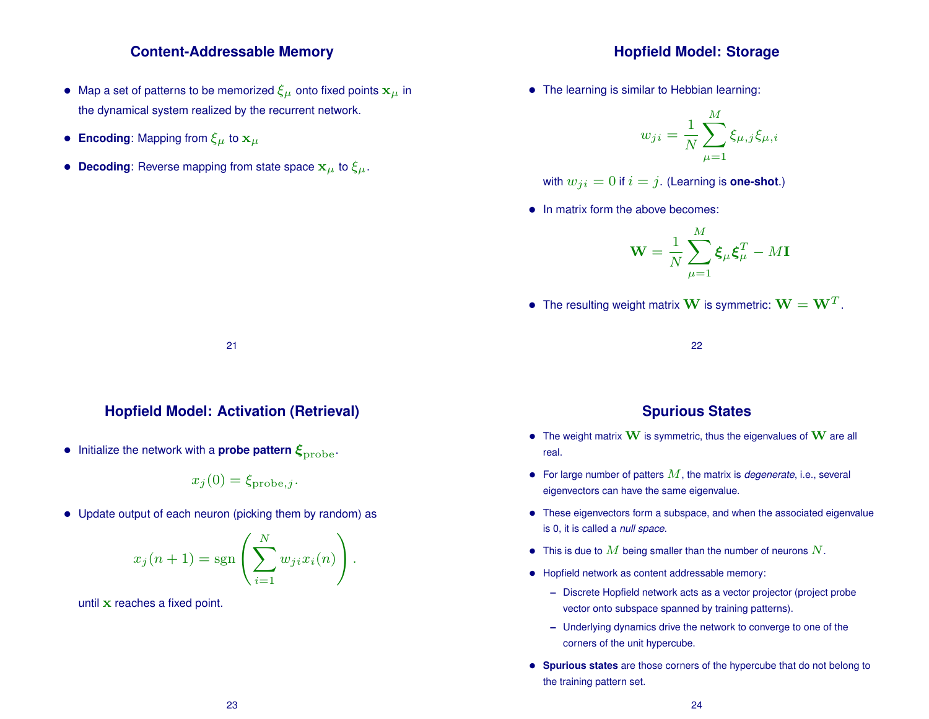#### **Content-Addressable Memory**

- Map a set of patterns to be memorized  $\xi_{\mu}$  onto fixed points  $x_{\mu}$  in the dynamical system realized by the recurrent network.
- **Encoding:** Mapping from  $\xi_{\mu}$  to  $x_{\mu}$
- **Decoding**: Reverse mapping from state space  $x_{\mu}$  to  $\xi_{\mu}$ .

#### **Hopfield Model: Storage**

• The learning is similar to Hebbian learning:

$$
w_{ji} = \frac{1}{N} \sum_{\mu=1}^{M} \xi_{\mu,j} \xi_{\mu,i}
$$

with 
$$
w_{ji} = 0
$$
 if  $i = j$ . (Learning is one-shot.)

• In matrix form the above becomes:

$$
\mathbf{W} = \frac{1}{N} \sum_{\mu=1}^{M} \boldsymbol{\xi}_{\mu} \boldsymbol{\xi}_{\mu}^{T} - M \mathbf{I}
$$

• The resulting weight matrix **W** is symmetric:  $\mathbf{W} = \mathbf{W}^T$ .

22

#### **Spurious States**

- The weight matrix  $\bf{W}$  is symmetric, thus the eigenvalues of  $\bf{W}$  are all real.
- For large number of patters  $M$ , the matrix is *degenerate*, i.e., several eigenvectors can have the same eigenvalue.
- These eigenvectors form a subspace, and when the associated eigenvalue is 0, it is called a *null space*.
- This is due to  $M$  being smaller than the number of neurons  $N$ .
- Hopfield network as content addressable memory:
	- **–** Discrete Hopfield network acts as a vector projector (project probe vector onto subspace spanned by training patterns).
	- **–** Underlying dynamics drive the network to converge to one of the corners of the unit hypercube.
- **Spurious states** are those corners of the hypercube that do not belong to the training pattern set.

21

#### **Hopfield Model: Activation (Retrieval)**

• Initialize the network with a **probe pattern**  $\xi_{\text{probe}}$ .

$$
x_j(0) = \xi_{\text{probe},j}.
$$

• Update output of each neuron (picking them by random) as

$$
x_j(n+1) = \mathrm{sgn}\left(\sum_{i=1}^N w_{ji} x_i(n)\right).
$$

until x reaches a fixed point.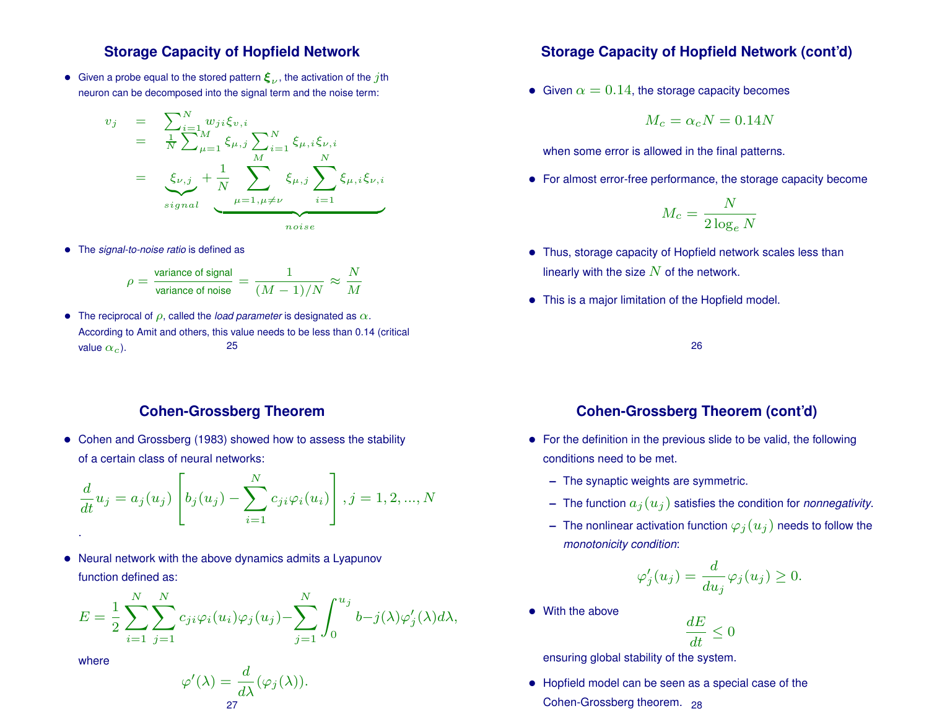#### **Storage Capacity of Hopfield Network**

• Given a probe equal to the stored pattern  $\boldsymbol{\xi}_{\nu}$ , the activation of the  $j$ th neuron can be decomposed into the signal term and the noise term:

$$
v_j = \sum_{i=1}^{N} w_{ji} \xi_{v,i}
$$
  
=  $\frac{1}{N} \sum_{\mu=1}^{M} \xi_{\mu,j} \sum_{i=1}^{N} \xi_{\mu,i} \xi_{\nu,i}$   
=  $\xi_{\nu,j} + \frac{1}{N} \sum_{\mu=1, \mu \neq \nu}^{M} \xi_{\mu,j} \sum_{i=1}^{N} \xi_{\mu,i} \xi_{\nu,i}$   
noise

• The *signal-to-noise ratio* is defined as

$$
\rho = \frac{\text{variance of signal}}{\text{variance of noise}} = \frac{1}{(M-1)/N} \approx \frac{N}{M}
$$

• The reciprocal of  $\rho$ , called the *load parameter* is designated as  $\alpha$ . According to Amit and others, this value needs to be less than 0.14 (critical value  $\alpha_c$ ). 25

#### **Cohen-Grossberg Theorem**

• Cohen and Grossberg (1983) showed how to assess the stability of a certain class of neural networks:

$$
\frac{d}{dt}u_j = a_j(u_j) \left[ b_j(u_j) - \sum_{i=1}^N c_{ji} \varphi_i(u_i) \right], j = 1, 2, ..., N
$$

• Neural network with the above dynamics admits a Lyapunov function defined as:

$$
E = \frac{1}{2} \sum_{i=1}^{N} \sum_{j=1}^{N} c_{ji} \varphi_i(u_i) \varphi_j(u_j) - \sum_{j=1}^{N} \int_0^{u_j} b - j(\lambda) \varphi'_j(\lambda) d\lambda,
$$

where

$$
\varphi'(\lambda) = \frac{d}{d\lambda}(\varphi_j(\lambda)).
$$
27

#### **Storage Capacity of Hopfield Network (cont'd)**

• Given  $\alpha = 0.14$ , the storage capacity becomes

$$
M_c = \alpha_c N = 0.14N
$$

when some error is allowed in the final patterns.

• For almost error-free performance, the storage capacity become

$$
M_c = \frac{N}{2\log_e N}
$$

- Thus, storage capacity of Hopfield network scales less than linearly with the size  $N$  of the network.
- This is a major limitation of the Hopfield model.

26

#### **Cohen-Grossberg Theorem (cont'd)**

- For the definition in the previous slide to be valid, the following conditions need to be met.
	- **–** The synaptic weights are symmetric.
	- $-$  The function  $a_j(u_j)$  satisfies the condition for *nonnegativity*.
	- $-$  The nonlinear activation function  $\varphi_j(u_j)$  needs to follow the *monotonicity condition*:

$$
\varphi'_j(u_j) = \frac{d}{du_j} \varphi_j(u_j) \ge 0.
$$

• With the above

$$
\frac{dE}{dt}\leq 0
$$

ensuring global stability of the system.

• Hopfield model can be seen as a special case of the Cohen-Grossberg theorem. 28